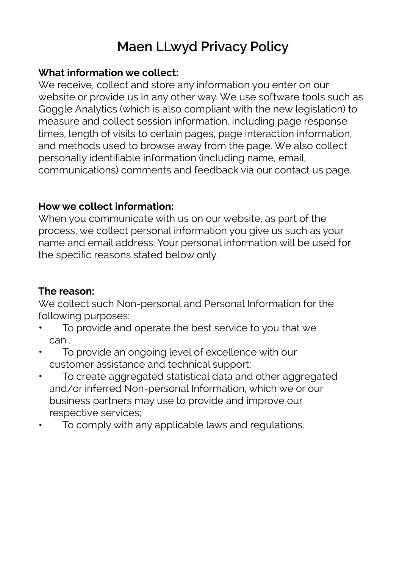# **Maen LLwyd Privacy Policy**

#### **What information we collect:**

We receive, collect and store any information you enter on our website or provide us in any other way. We use software tools such as Goggle Analytics (which is also compliant with the new legislation) to measure and collect session information, including page response times, length of visits to certain pages, page interaction information, and methods used to browse away from the page. We also collect personally identifiable information (including name, email, communications) comments and feedback via our contact us page.

#### **How we collect information:**

When you communicate with us on our website, as part of the process, we collect personal information you give us such as your name and email address. Your personal information will be used for the specific reasons stated below only.

# **The reason:**

We collect such Non-personal and Personal Information for the following purposes:

- To provide and operate the best service to you that we can ;
- To provide an ongoing level of excellence with our customer assistance and technical support;
- To create aggregated statistical data and other aggregated and/or inferred Non-personal Information, which we or our business partners may use to provide and improve our respective services;
- To comply with any applicable laws and regulations.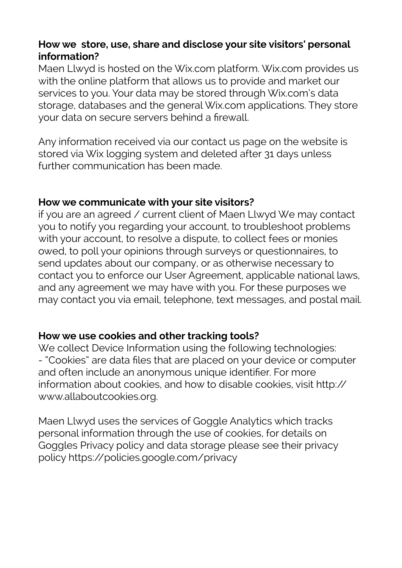### **How we store, use, share and disclose your site visitors' personal information?**

Maen Llwyd is hosted on the Wix.com platform. Wix.com provides us with the online platform that allows us to provide and market our services to you. Your data may be stored through Wix.com's data storage, databases and the general Wix.com applications. They store your data on secure servers behind a firewall.

Any information received via our contact us page on the website is stored via Wix logging system and deleted after 31 days unless further communication has been made.

#### **How we communicate with your site visitors?**

if you are an agreed / current client of Maen Llwyd We may contact you to notify you regarding your account, to troubleshoot problems with your account, to resolve a dispute, to collect fees or monies owed, to poll your opinions through surveys or questionnaires, to send updates about our company, or as otherwise necessary to contact you to enforce our User Agreement, applicable national laws, and any agreement we may have with you. For these purposes we may contact you via email, telephone, text messages, and postal mail.

#### **How we use cookies and other tracking tools?**

We collect Device Information using the following technologies: - "Cookies" are data files that are placed on your device or computer and often include an anonymous unique identifier. For more information about cookies, and how to disable cookies, visit [http://](https://l.facebook.com/l.php?u=http%3A%2F%2Fwww.allaboutcookies.org%2F&h=ATPCsHh-VtATsVA-acv8c-UQTSNdRXJNs2E4FPhCbZIh0xuIhp2OVWqt0chBmN-ECgnrHa-rscOrf-efaYaRRBnFRl8_1ab6DZTSTj-mfKKbb90uqQn-CFvW) [www.allaboutcookies.org](https://l.facebook.com/l.php?u=http%3A%2F%2Fwww.allaboutcookies.org%2F&h=ATPCsHh-VtATsVA-acv8c-UQTSNdRXJNs2E4FPhCbZIh0xuIhp2OVWqt0chBmN-ECgnrHa-rscOrf-efaYaRRBnFRl8_1ab6DZTSTj-mfKKbb90uqQn-CFvW).

Maen Llwyd uses the services of Goggle Analytics which tracks personal information through the use of cookies, for details on Goggles Privacy policy and data storage please see their privacy policy [https://policies.google.com/privacy](https://l.facebook.com/l.php?u=https%3A%2F%2Fpolicies.google.com%2Fprivacy&h=ATPCsHh-VtATsVA-acv8c-UQTSNdRXJNs2E4FPhCbZIh0xuIhp2OVWqt0chBmN-ECgnrHa-rscOrf-efaYaRRBnFRl8_1ab6DZTSTj-mfKKbb90uqQn-CFvW)